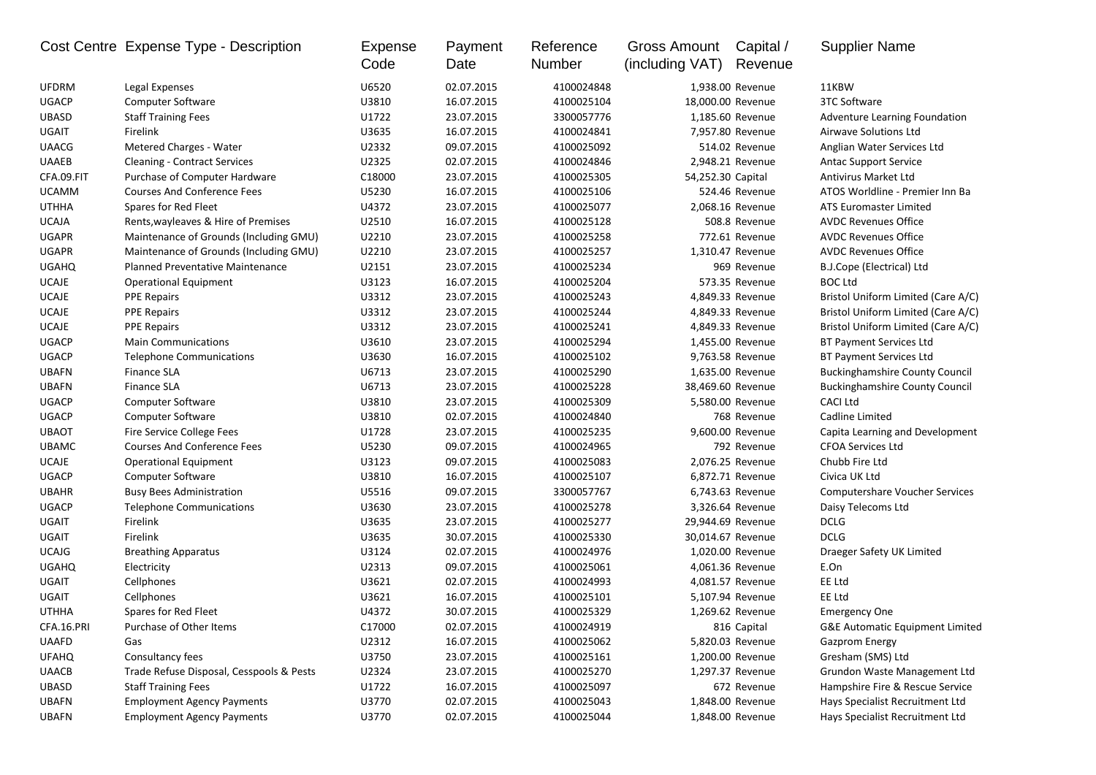|              | Cost Centre Expense Type - Description   | Expense<br>Code | Payment<br>Date | Reference<br>Number | <b>Gross Amount</b><br>(including VAT) | Capital /<br>Revenue | <b>Supplier Name</b>                       |
|--------------|------------------------------------------|-----------------|-----------------|---------------------|----------------------------------------|----------------------|--------------------------------------------|
| <b>UFDRM</b> | Legal Expenses                           | U6520           | 02.07.2015      | 4100024848          |                                        | 1,938.00 Revenue     | 11KBW                                      |
| <b>UGACP</b> | Computer Software                        | U3810           | 16.07.2015      | 4100025104          | 18,000.00 Revenue                      |                      | 3TC Software                               |
| <b>UBASD</b> | <b>Staff Training Fees</b>               | U1722           | 23.07.2015      | 3300057776          |                                        | 1,185.60 Revenue     | Adventure Learning Foundation              |
| <b>UGAIT</b> | Firelink                                 | U3635           | 16.07.2015      | 4100024841          |                                        | 7,957.80 Revenue     | Airwave Solutions Ltd                      |
| <b>UAACG</b> | Metered Charges - Water                  | U2332           | 09.07.2015      | 4100025092          |                                        | 514.02 Revenue       | Anglian Water Services Ltd                 |
| <b>UAAEB</b> | <b>Cleaning - Contract Services</b>      | U2325           | 02.07.2015      | 4100024846          |                                        | 2,948.21 Revenue     | <b>Antac Support Service</b>               |
| CFA.09.FIT   | Purchase of Computer Hardware            | C18000          | 23.07.2015      | 4100025305          | 54,252.30 Capital                      |                      | <b>Antivirus Market Ltd</b>                |
| <b>UCAMM</b> | <b>Courses And Conference Fees</b>       | U5230           | 16.07.2015      | 4100025106          |                                        | 524.46 Revenue       | ATOS Worldline - Premier Inn Ba            |
| <b>UTHHA</b> | Spares for Red Fleet                     | U4372           | 23.07.2015      | 4100025077          |                                        | 2,068.16 Revenue     | <b>ATS Euromaster Limited</b>              |
| <b>UCAJA</b> | Rents, wayleaves & Hire of Premises      | U2510           | 16.07.2015      | 4100025128          |                                        | 508.8 Revenue        | <b>AVDC Revenues Office</b>                |
| <b>UGAPR</b> | Maintenance of Grounds (Including GMU)   | U2210           | 23.07.2015      | 4100025258          |                                        | 772.61 Revenue       | <b>AVDC Revenues Office</b>                |
| <b>UGAPR</b> | Maintenance of Grounds (Including GMU)   | U2210           | 23.07.2015      | 4100025257          |                                        | 1,310.47 Revenue     | <b>AVDC Revenues Office</b>                |
| <b>UGAHQ</b> | <b>Planned Preventative Maintenance</b>  | U2151           | 23.07.2015      | 4100025234          |                                        | 969 Revenue          | B.J.Cope (Electrical) Ltd                  |
| <b>UCAJE</b> | <b>Operational Equipment</b>             | U3123           | 16.07.2015      | 4100025204          |                                        | 573.35 Revenue       | <b>BOC Ltd</b>                             |
| <b>UCAJE</b> | <b>PPE Repairs</b>                       | U3312           | 23.07.2015      | 4100025243          |                                        | 4,849.33 Revenue     | Bristol Uniform Limited (Care A/C)         |
| <b>UCAJE</b> | <b>PPE Repairs</b>                       | U3312           | 23.07.2015      | 4100025244          |                                        | 4,849.33 Revenue     | Bristol Uniform Limited (Care A/C)         |
| <b>UCAJE</b> | <b>PPE Repairs</b>                       | U3312           | 23.07.2015      | 4100025241          |                                        | 4,849.33 Revenue     | Bristol Uniform Limited (Care A/C)         |
| <b>UGACP</b> | <b>Main Communications</b>               | U3610           | 23.07.2015      | 4100025294          |                                        | 1,455.00 Revenue     | <b>BT Payment Services Ltd</b>             |
| <b>UGACP</b> | <b>Telephone Communications</b>          | U3630           | 16.07.2015      | 4100025102          |                                        | 9,763.58 Revenue     | <b>BT Payment Services Ltd</b>             |
| <b>UBAFN</b> | Finance SLA                              | U6713           | 23.07.2015      | 4100025290          |                                        | 1,635.00 Revenue     | <b>Buckinghamshire County Council</b>      |
| <b>UBAFN</b> | <b>Finance SLA</b>                       | U6713           | 23.07.2015      | 4100025228          | 38,469.60 Revenue                      |                      | <b>Buckinghamshire County Council</b>      |
| <b>UGACP</b> | <b>Computer Software</b>                 | U3810           | 23.07.2015      | 4100025309          |                                        | 5,580.00 Revenue     | <b>CACI Ltd</b>                            |
| <b>UGACP</b> | <b>Computer Software</b>                 | U3810           | 02.07.2015      | 4100024840          |                                        | 768 Revenue          | Cadline Limited                            |
| <b>UBAOT</b> | <b>Fire Service College Fees</b>         | U1728           | 23.07.2015      | 4100025235          |                                        | 9,600.00 Revenue     | Capita Learning and Development            |
| <b>UBAMC</b> | <b>Courses And Conference Fees</b>       | U5230           | 09.07.2015      | 4100024965          |                                        | 792 Revenue          | <b>CFOA Services Ltd</b>                   |
| <b>UCAJE</b> | <b>Operational Equipment</b>             | U3123           | 09.07.2015      | 4100025083          |                                        | 2,076.25 Revenue     | Chubb Fire Ltd                             |
| <b>UGACP</b> | <b>Computer Software</b>                 | U3810           | 16.07.2015      | 4100025107          |                                        | 6,872.71 Revenue     | Civica UK Ltd                              |
| <b>UBAHR</b> | <b>Busy Bees Administration</b>          | U5516           | 09.07.2015      | 3300057767          |                                        | 6,743.63 Revenue     | <b>Computershare Voucher Services</b>      |
| <b>UGACP</b> | <b>Telephone Communications</b>          | U3630           | 23.07.2015      | 4100025278          |                                        | 3,326.64 Revenue     | Daisy Telecoms Ltd                         |
| <b>UGAIT</b> | Firelink                                 | U3635           | 23.07.2015      | 4100025277          | 29,944.69 Revenue                      |                      | <b>DCLG</b>                                |
| <b>UGAIT</b> | Firelink                                 | U3635           | 30.07.2015      | 4100025330          | 30,014.67 Revenue                      |                      | <b>DCLG</b>                                |
| <b>UCAJG</b> | <b>Breathing Apparatus</b>               | U3124           | 02.07.2015      | 4100024976          |                                        | 1,020.00 Revenue     | Draeger Safety UK Limited                  |
| <b>UGAHQ</b> | Electricity                              | U2313           | 09.07.2015      | 4100025061          |                                        | 4,061.36 Revenue     | E.On                                       |
| <b>UGAIT</b> | Cellphones                               | U3621           | 02.07.2015      | 4100024993          |                                        | 4,081.57 Revenue     | EE Ltd                                     |
| <b>UGAIT</b> | Cellphones                               | U3621           | 16.07.2015      | 4100025101          |                                        | 5,107.94 Revenue     | EE Ltd                                     |
| <b>UTHHA</b> | Spares for Red Fleet                     | U4372           | 30.07.2015      | 4100025329          |                                        | 1,269.62 Revenue     | <b>Emergency One</b>                       |
| CFA.16.PRI   | Purchase of Other Items                  | C17000          | 02.07.2015      | 4100024919          |                                        | 816 Capital          | <b>G&amp;E Automatic Equipment Limited</b> |
| <b>UAAFD</b> | Gas                                      | U2312           | 16.07.2015      | 4100025062          |                                        | 5,820.03 Revenue     | <b>Gazprom Energy</b>                      |
| <b>UFAHQ</b> | Consultancy fees                         | U3750           | 23.07.2015      | 4100025161          |                                        | 1,200.00 Revenue     | Gresham (SMS) Ltd                          |
| <b>UAACB</b> | Trade Refuse Disposal, Cesspools & Pests | U2324           | 23.07.2015      | 4100025270          |                                        | 1,297.37 Revenue     | Grundon Waste Management Ltd               |
| <b>UBASD</b> | <b>Staff Training Fees</b>               | U1722           | 16.07.2015      | 4100025097          |                                        | 672 Revenue          | Hampshire Fire & Rescue Service            |
| <b>UBAFN</b> | <b>Employment Agency Payments</b>        | U3770           | 02.07.2015      | 4100025043          |                                        | 1,848.00 Revenue     | Hays Specialist Recruitment Ltd            |
| <b>UBAFN</b> | <b>Employment Agency Payments</b>        | U3770           | 02.07.2015      | 4100025044          |                                        | 1,848.00 Revenue     | Hays Specialist Recruitment Ltd            |
|              |                                          |                 |                 |                     |                                        |                      |                                            |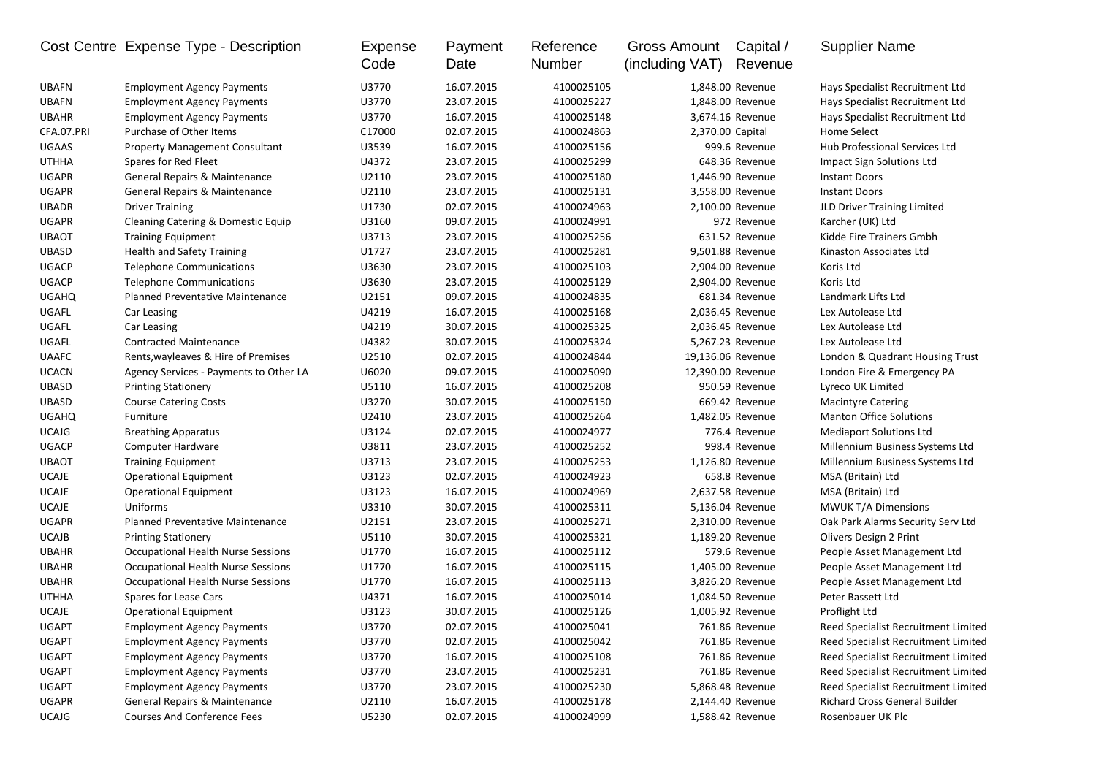|              | Cost Centre Expense Type - Description                                 | Expense<br>Code | Payment<br>Date | Reference<br>Number | Gross Amount<br>(including VAT) | Capital /<br>Revenue | <b>Supplier Name</b>                |
|--------------|------------------------------------------------------------------------|-----------------|-----------------|---------------------|---------------------------------|----------------------|-------------------------------------|
| <b>UBAFN</b> | <b>Employment Agency Payments</b>                                      | U3770           | 16.07.2015      | 4100025105          |                                 | 1,848.00 Revenue     | Hays Specialist Recruitment Ltd     |
| <b>UBAFN</b> | <b>Employment Agency Payments</b>                                      | U3770           | 23.07.2015      | 4100025227          | 1,848.00 Revenue                |                      | Hays Specialist Recruitment Ltd     |
| <b>UBAHR</b> | <b>Employment Agency Payments</b>                                      | U3770           | 16.07.2015      | 4100025148          | 3,674.16 Revenue                |                      | Hays Specialist Recruitment Ltd     |
| CFA.07.PRI   | Purchase of Other Items                                                | C17000          | 02.07.2015      | 4100024863          | 2,370.00 Capital                |                      | Home Select                         |
| <b>UGAAS</b> | <b>Property Management Consultant</b>                                  | U3539           | 16.07.2015      | 4100025156          |                                 | 999.6 Revenue        | Hub Professional Services Ltd       |
| <b>UTHHA</b> | Spares for Red Fleet                                                   | U4372           | 23.07.2015      | 4100025299          | 648.36 Revenue                  |                      | Impact Sign Solutions Ltd           |
| <b>UGAPR</b> | General Repairs & Maintenance                                          | U2110           | 23.07.2015      | 4100025180          | 1,446.90 Revenue                |                      | <b>Instant Doors</b>                |
| <b>UGAPR</b> | General Repairs & Maintenance                                          | U2110           | 23.07.2015      | 4100025131          | 3,558.00 Revenue                |                      | <b>Instant Doors</b>                |
| <b>UBADR</b> | <b>Driver Training</b>                                                 | U1730           | 02.07.2015      | 4100024963          | 2,100.00 Revenue                |                      | JLD Driver Training Limited         |
| <b>UGAPR</b> | Cleaning Catering & Domestic Equip                                     | U3160           | 09.07.2015      | 4100024991          |                                 | 972 Revenue          | Karcher (UK) Ltd                    |
| <b>UBAOT</b> | <b>Training Equipment</b>                                              | U3713           | 23.07.2015      | 4100025256          |                                 | 631.52 Revenue       | Kidde Fire Trainers Gmbh            |
| <b>UBASD</b> | <b>Health and Safety Training</b>                                      | U1727           | 23.07.2015      | 4100025281          |                                 | 9,501.88 Revenue     | Kinaston Associates Ltd             |
| <b>UGACP</b> | <b>Telephone Communications</b>                                        | U3630           | 23.07.2015      | 4100025103          |                                 | 2,904.00 Revenue     | Koris Ltd                           |
| <b>UGACP</b> | <b>Telephone Communications</b>                                        | U3630           | 23.07.2015      | 4100025129          |                                 | 2,904.00 Revenue     | Koris Ltd                           |
| <b>UGAHQ</b> | <b>Planned Preventative Maintenance</b>                                | U2151           | 09.07.2015      | 4100024835          |                                 | 681.34 Revenue       | Landmark Lifts Ltd                  |
| UGAFL        | Car Leasing                                                            | U4219           | 16.07.2015      | 4100025168          |                                 | 2,036.45 Revenue     | Lex Autolease Ltd                   |
| UGAFL        | Car Leasing                                                            | U4219           | 30.07.2015      | 4100025325          | 2,036.45 Revenue                |                      | Lex Autolease Ltd                   |
| UGAFL        | <b>Contracted Maintenance</b>                                          | U4382           | 30.07.2015      | 4100025324          | 5,267.23 Revenue                |                      | Lex Autolease Ltd                   |
| <b>UAAFC</b> | Rents, wayleaves & Hire of Premises                                    | U2510           | 02.07.2015      | 4100024844          | 19,136.06 Revenue               |                      | London & Quadrant Housing Trust     |
| <b>UCACN</b> | Agency Services - Payments to Other LA                                 | U6020           | 09.07.2015      | 4100025090          | 12,390.00 Revenue               |                      | London Fire & Emergency PA          |
| <b>UBASD</b> | <b>Printing Stationery</b>                                             | U5110           | 16.07.2015      | 4100025208          |                                 | 950.59 Revenue       | Lyreco UK Limited                   |
| <b>UBASD</b> | <b>Course Catering Costs</b>                                           | U3270           | 30.07.2015      | 4100025150          | 669.42 Revenue                  |                      | <b>Macintyre Catering</b>           |
| <b>UGAHQ</b> | Furniture                                                              | U2410           | 23.07.2015      | 4100025264          |                                 | 1,482.05 Revenue     | <b>Manton Office Solutions</b>      |
| <b>UCAJG</b> | <b>Breathing Apparatus</b>                                             | U3124           | 02.07.2015      | 4100024977          |                                 | 776.4 Revenue        | <b>Mediaport Solutions Ltd</b>      |
| <b>UGACP</b> | Computer Hardware                                                      | U3811           | 23.07.2015      | 4100025252          |                                 | 998.4 Revenue        | Millennium Business Systems Ltd     |
| <b>UBAOT</b> | <b>Training Equipment</b>                                              | U3713           | 23.07.2015      | 4100025253          |                                 | 1,126.80 Revenue     | Millennium Business Systems Ltd     |
| <b>UCAJE</b> | <b>Operational Equipment</b>                                           | U3123           | 02.07.2015      | 4100024923          |                                 | 658.8 Revenue        | MSA (Britain) Ltd                   |
| <b>UCAJE</b> | <b>Operational Equipment</b>                                           | U3123           | 16.07.2015      | 4100024969          |                                 | 2,637.58 Revenue     | MSA (Britain) Ltd                   |
| <b>UCAJE</b> | Uniforms                                                               | U3310           | 30.07.2015      | 4100025311          |                                 | 5,136.04 Revenue     | <b>MWUK T/A Dimensions</b>          |
| <b>UGAPR</b> | <b>Planned Preventative Maintenance</b>                                | U2151           | 23.07.2015      | 4100025271          |                                 | 2,310.00 Revenue     | Oak Park Alarms Security Serv Ltd   |
| <b>UCAJB</b> | <b>Printing Stationery</b>                                             | U5110           | 30.07.2015      | 4100025321          |                                 | 1,189.20 Revenue     | Olivers Design 2 Print              |
| <b>UBAHR</b> | Occupational Health Nurse Sessions                                     | U1770           | 16.07.2015      | 4100025112          |                                 | 579.6 Revenue        | People Asset Management Ltd         |
| <b>UBAHR</b> | Occupational Health Nurse Sessions                                     | U1770           | 16.07.2015      | 4100025115          |                                 | 1,405.00 Revenue     | People Asset Management Ltd         |
| <b>UBAHR</b> | Occupational Health Nurse Sessions                                     | U1770           | 16.07.2015      | 4100025113          | 3,826.20 Revenue                |                      | People Asset Management Ltd         |
| <b>UTHHA</b> | Spares for Lease Cars                                                  | U4371           | 16.07.2015      | 4100025014          | 1,084.50 Revenue                |                      | Peter Bassett Ltd                   |
| <b>UCAJE</b> | <b>Operational Equipment</b>                                           | U3123           | 30.07.2015      | 4100025126          | 1,005.92 Revenue                |                      | Proflight Ltd                       |
| UGAPT        | <b>Employment Agency Payments</b>                                      | U3770           | 02.07.2015      | 4100025041          | 761.86 Revenue                  |                      | Reed Specialist Recruitment Limited |
| <b>UGAPT</b> | <b>Employment Agency Payments</b>                                      | U3770           | 02.07.2015      | 4100025042          |                                 | 761.86 Revenue       | Reed Specialist Recruitment Limited |
| UGAPT        | <b>Employment Agency Payments</b>                                      | U3770           | 16.07.2015      | 4100025108          |                                 | 761.86 Revenue       | Reed Specialist Recruitment Limited |
| <b>UGAPT</b> |                                                                        | U3770           | 23.07.2015      | 4100025231          |                                 | 761.86 Revenue       | Reed Specialist Recruitment Limited |
| UGAPT        | <b>Employment Agency Payments</b><br><b>Employment Agency Payments</b> | U3770           | 23.07.2015      | 4100025230          |                                 | 5,868.48 Revenue     | Reed Specialist Recruitment Limited |
| UGAPR        | General Repairs & Maintenance                                          | U2110           | 16.07.2015      | 4100025178          |                                 | 2,144.40 Revenue     | Richard Cross General Builder       |
|              | <b>Courses And Conference Fees</b>                                     |                 | 02.07.2015      | 4100024999          |                                 |                      | Rosenbauer UK Plc                   |
| <b>UCAJG</b> |                                                                        | U5230           |                 |                     |                                 | 1,588.42 Revenue     |                                     |